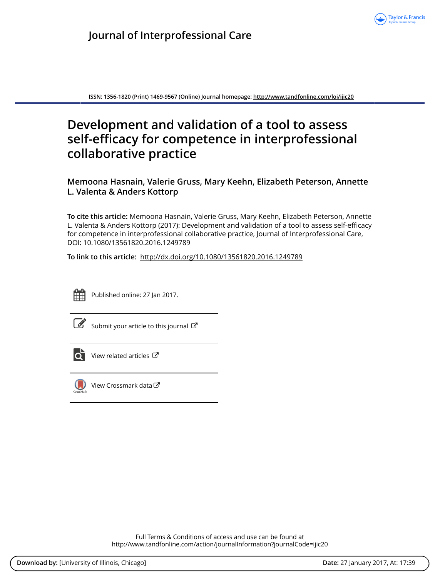

**ISSN: 1356-1820 (Print) 1469-9567 (Online) Journal homepage:<http://www.tandfonline.com/loi/ijic20>**

# **Development and validation of a tool to assess self-efficacy for competence in interprofessional collaborative practice**

**Memoona Hasnain, Valerie Gruss, Mary Keehn, Elizabeth Peterson, Annette L. Valenta & Anders Kottorp**

**To cite this article:** Memoona Hasnain, Valerie Gruss, Mary Keehn, Elizabeth Peterson, Annette L. Valenta & Anders Kottorp (2017): Development and validation of a tool to assess self-efficacy for competence in interprofessional collaborative practice, Journal of Interprofessional Care, DOI: [10.1080/13561820.2016.1249789](http://www.tandfonline.com/action/showCitFormats?doi=10.1080/13561820.2016.1249789)

**To link to this article:** <http://dx.doi.org/10.1080/13561820.2016.1249789>



Published online: 27 Jan 2017.

[Submit your article to this journal](http://www.tandfonline.com/action/authorSubmission?journalCode=ijic20&show=instructions)  $\mathbb{Z}$ 



 $\overrightarrow{Q}$  [View related articles](http://www.tandfonline.com/doi/mlt/10.1080/13561820.2016.1249789)  $\overrightarrow{C}$ 



 $\bigcirc$  [View Crossmark data](http://crossmark.crossref.org/dialog/?doi=10.1080/13561820.2016.1249789&domain=pdf&date_stamp=2017-01-27) $\mathbb{Z}$ 

Full Terms & Conditions of access and use can be found at <http://www.tandfonline.com/action/journalInformation?journalCode=ijic20>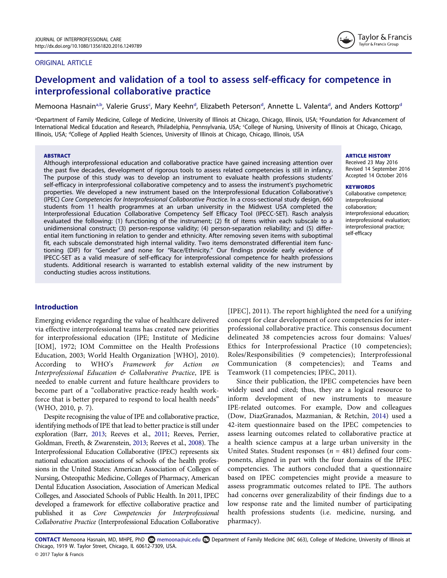# ORIGINAL ARTICLE



# Development and validation of a tool to assess self-efficacy for competence in interprofessional collaborative practice

Memoona Hasnain<sup>[a,b](#page-1-0)</sup>, Valerie Gruss<sup>c</sup>, Mary Keehn<sup>d</sup>, Elizabeth Peterson<sup>d</sup>, Annette L. Valenta<sup>d</sup>, a[nd](#page-1-2) Anders Kottorp<sup>d</sup>

<span id="page-1-2"></span><span id="page-1-1"></span><span id="page-1-0"></span>ªDepartment of Family Medicine, College of Medicine, University of Illinois at Chicago, Chicago, Illinois, USA; <sup>b</sup>Foundation for Advancement of International Medical Education and Research, Philadelphia, Pennsylvania, USA; <College of Nursing, University of Illinois at Chicago, Chicago, Illinois, USA; <sup>a</sup>College of Applied Health Sciences, University of Illinois at Chicago, Chicago, Illinois, USA

#### ABSTRACT

Although interprofessional education and collaborative practice have gained increasing attention over the past five decades, development of rigorous tools to assess related competencies is still in infancy. The purpose of this study was to develop an instrument to evaluate health professions students' self-efficacy in interprofessional collaborative competency and to assess the instrument's psychometric properties. We developed a new instrument based on the Interprofessional Education Collaborative's (IPEC) Core Competencies for Interprofessional Collaborative Practice. In a cross-sectional study design, 660 students from 11 health programmes at an urban university in the Midwest USA completed the Interprofessional Education Collaborative Competency Self Efficacy Tool (IPECC-SET). Rasch analysis evaluated the following: (1) functioning of the instrument; (2) fit of items within each subscale to a unidimensional construct; (3) person-response validity; (4) person-separation reliability; and (5) differential item functioning in relation to gender and ethnicity. After removing seven items with suboptimal fit, each subscale demonstrated high internal validity. Two items demonstrated differential item functioning (DIF) for "Gender" and none for "Race/Ethnicity." Our findings provide early evidence of IPECC-SET as a valid measure of self-efficacy for interprofessional competence for health professions students. Additional research is warranted to establish external validity of the new instrument by conducting studies across institutions.

#### ARTICLE HISTORY

Received 23 May 2016 Revised 14 September 2016 Accepted 14 October 2016

#### **KEYWORDS**

Collaborative competence; interprofessional collaboration; interprofessional education; interprofessional evaluation; interprofessional practice; self-efficacy

# Introduction

Emerging evidence regarding the value of healthcare delivered via effective interprofessional teams has created new priorities for interprofessional education (IPE; Institute of Medicine [IOM], 1972; IOM Committee on the Health Professions Education, 2003; World Health Organization [WHO], 2010). According to WHO's Framework for Action on Interprofessional Education & Collaborative Practice, IPE is needed to enable current and future healthcare providers to become part of a "collaborative practice-ready health workforce that is better prepared to respond to local health needs" (WHO, 2010, p. 7).

Despite recognising the value of IPE and collaborative practice, identifying methods of IPE that lead to better practice is still under exploration (Barr, [2013;](#page-7-0) Reeves et al., [2011;](#page-8-0) Reeves, Perrier, Goldman, Freeth, & Zwarenstein, [2013](#page-8-1); Reeves et al., [2008](#page-8-2)). The Interprofessional Education Collaborative (IPEC) represents six national education associations of schools of the health professions in the United States: American Association of Colleges of Nursing, Osteopathic Medicine, Colleges of Pharmacy, American Dental Education Association, Association of American Medical Colleges, and Associated Schools of Public Health. In 2011, IPEC developed a framework for effective collaborative practice and published it as Core Competencies for Interprofessional Collaborative Practice (Interprofessional Education Collaborative

[IPEC], 2011). The report highlighted the need for a unifying concept for clear development of core competencies for interprofessional collaborative practice. This consensus document delineated 38 competencies across four domains: Values/ Ethics for Interprofessional Practice (10 competencies); Roles/Responsibilities (9 competencies); Interprofessional Communication (8 competencies); and Teams and Teamwork (11 competencies; IPEC, 2011).

Since their publication, the IPEC competencies have been widely used and cited; thus, they are a logical resource to inform development of new instruments to measure IPE-related outcomes. For example, Dow and colleagues (Dow, DiazGranados, Mazmanian, & Retchin, [2014\)](#page-7-1) used a 42-item questionnaire based on the IPEC competencies to assess learning outcomes related to collaborative practice at a health science campus at a large urban university in the United States. Student responses ( $n = 481$ ) defined four components, aligned in part with the four domains of the IPEC competencies. The authors concluded that a questionnaire based on IPEC competencies might provide a measure to assess programmatic outcomes related to IPE. The authors had concerns over generalizability of their findings due to a low response rate and the limited number of participating health professions students (i.e. medicine, nursing, and pharmacy).

CONTACT Memoona Hasnain, MD, MHPE, PhD memoona@uic.edu Department of Family Medicine (MC 663), College of Medicine, University of Illinois at Chicago, 1919 W. Taylor Street, Chicago, IL 60612-7309, USA.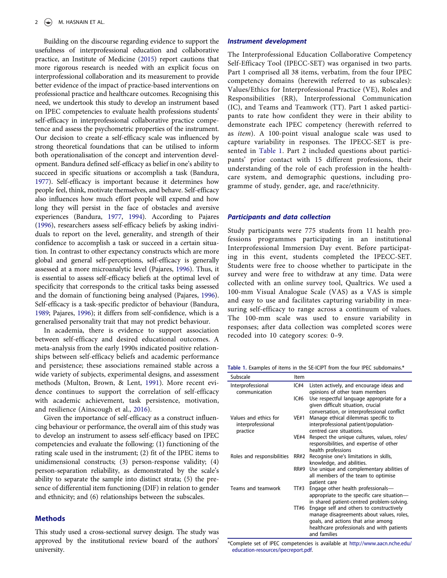Building on the discourse regarding evidence to support the usefulness of interprofessional education and collaborative practice, an Institute of Medicine [\(2015](#page-7-2)) report cautions that more rigorous research is needed with an explicit focus on interprofessional collaboration and its measurement to provide better evidence of the impact of practice-based interventions on professional practice and healthcare outcomes. Recognising this need, we undertook this study to develop an instrument based on IPEC competencies to evaluate health professions students' self-efficacy in interprofessional collaborative practice competence and assess the psychometric properties of the instrument. Our decision to create a self-efficacy scale was influenced by strong theoretical foundations that can be utilised to inform both operationalisation of the concept and intervention development. Bandura defined self-efficacy as belief in one's ability to succeed in specific situations or accomplish a task (Bandura, [1977\)](#page-7-3). Self-efficacy is important because it determines how people feel, think, motivate themselves, and behave. Self-efficacy also influences how much effort people will expend and how long they will persist in the face of obstacles and aversive experiences (Bandura, [1977,](#page-7-3) [1994\)](#page-7-4). According to Pajares [\(1996](#page-8-3)), researchers assess self-efficacy beliefs by asking individuals to report on the level, generality, and strength of their confidence to accomplish a task or succeed in a certain situation. In contrast to other expectancy constructs which are more global and general self-perceptions, self-efficacy is generally assessed at a more microanalytic level (Pajares, [1996\)](#page-8-3). Thus, it is essential to assess self-efficacy beliefs at the optimal level of specificity that corresponds to the critical tasks being assessed and the domain of functioning being analysed (Pajares, [1996](#page-8-3)). Self-efficacy is a task-specific predictor of behaviour (Bandura, [1989;](#page-7-5) Pajares, [1996\)](#page-8-3); it differs from self-confidence, which is a generalised personality trait that may not predict behaviour.

In academia, there is evidence to support association between self-efficacy and desired educational outcomes. A meta-analysis from the early 1990s indicated positive relationships between self-efficacy beliefs and academic performance and persistence; these associations remained stable across a wide variety of subjects, experimental designs, and assessment methods (Multon, Brown, & Lent, [1991](#page-8-4)). More recent evidence continues to support the correlation of self-efficacy with academic achievement, task persistence, motivation, and resilience (Ainscough et al., [2016](#page-7-6)).

Given the importance of self-efficacy as a construct influencing behaviour or performance, the overall aim of this study was to develop an instrument to assess self-efficacy based on IPEC competencies and evaluate the following: (1) functioning of the rating scale used in the instrument; (2) fit of the IPEC items to unidimensional constructs; (3) person-response validity; (4) person-separation reliability, as demonstrated by the scale's ability to separate the sample into distinct strata; (5) the presence of differential item functioning (DIF) in relation to gender and ethnicity; and (6) relationships between the subscales.

### **Methods**

This study used a cross-sectional survey design. The study was approved by the institutional review board of the authors' university.

#### Instrument development

The Interprofessional Education Collaborative Competency Self-Efficacy Tool (IPECC-SET) was organised in two parts. Part 1 comprised all 38 items, verbatim, from the four IPEC competency domains (herewith referred to as subscales): Values/Ethics for Interprofessional Practice (VE), Roles and Responsibilities (RR), Interprofessional Communication (IC), and Teams and Teamwork (TT). Part 1 asked participants to rate how confident they were in their ability to demonstrate each IPEC competency (herewith referred to as item). A 100-point visual analogue scale was used to capture variability in responses. The IPECC-SET is presented in [Table 1.](#page-2-0) Part 2 included questions about participants' prior contact with 15 different professions, their understanding of the role of each profession in the healthcare system, and demographic questions, including programme of study, gender, age, and race/ethnicity.

#### Participants and data collection

Study participants were 775 students from 11 health professions programmes participating in an institutional Interprofessional Immersion Day event. Before participating in this event, students completed the IPECC-SET. Students were free to choose whether to participate in the survey and were free to withdraw at any time. Data were collected with an online survey tool, Qualtrics. We used a 100-mm Visual Analogue Scale (VAS) as a VAS is simple and easy to use and facilitates capturing variability in measuring self-efficacy to range across a continuum of values. The 100-mm scale was used to ensure variability in responses; after data collection was completed scores were recoded into 10 category scores: 0–9.

<span id="page-2-0"></span>Table 1. Examples of items in the SE-ICIPT from the four IPEC subdomains.\*

| Subscale                   | Item        |                                                                                 |
|----------------------------|-------------|---------------------------------------------------------------------------------|
| Interprofessional          | IC#4        | Listen actively, and encourage ideas and                                        |
| communication              |             | opinions of other team members                                                  |
|                            | IC#6        | Use respectful language appropriate for a<br>given difficult situation, crucial |
|                            |             | conversation, or interprofessional conflict                                     |
| Values and ethics for      | <b>VE#1</b> | Manage ethical dilemmas specific to                                             |
| interprofessional          |             | interprofessional patient/population-                                           |
| practice                   |             | centred care situations.                                                        |
|                            | VE#4        | Respect the unique cultures, values, roles/                                     |
|                            |             | responsibilities, and expertise of other                                        |
|                            |             | health professions                                                              |
| Roles and responsibilities | RR#2        | Recognise one's limitations in skills,                                          |
|                            |             | knowledge, and abilities.                                                       |
|                            | RR#9        | Use unique and complementary abilities of                                       |
|                            |             | all members of the team to optimise                                             |
| Teams and teamwork         |             | patient care                                                                    |
|                            | TT#3        | Engage other health professionals-                                              |
|                            |             | appropriate to the specific care situation-                                     |
|                            |             | in shared patient-centred problem-solving.                                      |
|                            | TT#6        | Engage self and others to constructively                                        |
|                            |             | manage disagreements about values, roles,                                       |
|                            |             | goals, and actions that arise among                                             |
|                            |             | healthcare professionals and with patients<br>and families                      |

\*Complete set of IPEC competencies is available at [http://www.aacn.nche.edu/](http://www.aacn.nche.edu/education-resources/ipecreport.pdf) [education-resources/ipecreport.pdf](http://www.aacn.nche.edu/education-resources/ipecreport.pdf).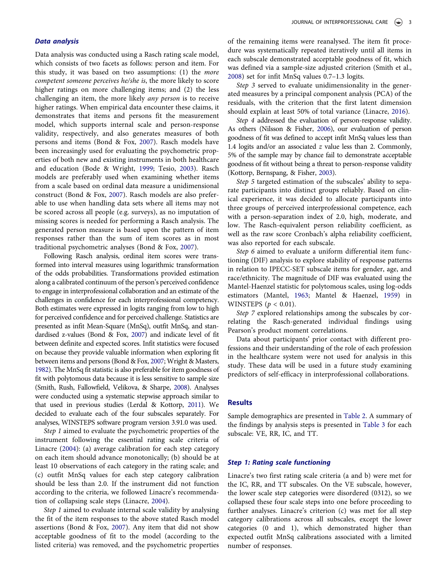#### Data analysis

Data analysis was conducted using a Rasch rating scale model, which consists of two facets as follows: person and item. For this study, it was based on two assumptions: (1) the more competent someone perceives he/she is, the more likely to score higher ratings on more challenging items; and (2) the less challenging an item, the more likely any person is to receive higher ratings. When empirical data encounter these claims, it demonstrates that items and persons fit the measurement model, which supports internal scale and person-response validity, respectively, and also generates measures of both persons and items (Bond & Fox, [2007](#page-7-7)). Rasch models have been increasingly used for evaluating the psychometric properties of both new and existing instruments in both healthcare and education (Bode & Wright, [1999;](#page-7-8) Tesio, [2003](#page-8-5)). Rasch models are preferably used when examining whether items from a scale based on ordinal data measure a unidimensional construct (Bond & Fox, [2007](#page-7-7)). Rasch models are also preferable to use when handling data sets where all items may not be scored across all people (e.g. surveys), as no imputation of missing scores is needed for performing a Rasch analysis. The generated person measure is based upon the pattern of item responses rather than the sum of item scores as in most traditional psychometric analyses (Bond & Fox, [2007](#page-7-7)).

Following Rasch analysis, ordinal item scores were transformed into interval measures using logarithmic transformation of the odds probabilities. Transformations provided estimation along a calibrated continuum of the person's perceived confidence to engage in interprofessional collaboration and an estimate of the challenges in confidence for each interprofessional competency. Both estimates were expressed in logits ranging from low to high for perceived confidence and for perceived challenge. Statistics are presented as infit Mean-Square (MnSq), outfit MnSq, and standardised z-values (Bond & Fox, [2007](#page-7-7)) and indicate level of fit between definite and expected scores. Infit statistics were focused on because they provide valuable information when exploring fit between items and persons (Bond & Fox, [2007;](#page-7-7) Wright & Masters, [1982](#page-8-6)). The MnSq fit statistic is also preferable for item goodness of fit with polytomous data because it is less sensitive to sample size (Smith, Rush, Fallowfield, Velikova, & Sharpe, [2008\)](#page-8-7). Analyses were conducted using a systematic stepwise approach similar to that used in previous studies (Lerdal & Kottorp, [2011\)](#page-8-8). We decided to evaluate each of the four subscales separately. For analyses, WINSTEPS software program version 3.91.0 was used.

Step 1 aimed to evaluate the psychometric properties of the instrument following the essential rating scale criteria of Linacre [\(2004](#page-8-9)): (a) average calibration for each step category on each item should advance monotonically; (b) should be at least 10 observations of each category in the rating scale; and (c) outfit MnSq values for each step category calibration should be less than 2.0. If the instrument did not function according to the criteria, we followed Linacre's recommendation of collapsing scale steps (Linacre, [2004\)](#page-8-9).

Step 1 aimed to evaluate internal scale validity by analysing the fit of the item responses to the above stated Rasch model assertions (Bond & Fox, [2007](#page-7-7)). Any item that did not show acceptable goodness of fit to the model (according to the listed criteria) was removed, and the psychometric properties

of the remaining items were reanalysed. The item fit procedure was systematically repeated iteratively until all items in each subscale demonstrated acceptable goodness of fit, which was defined via a sample-size adjusted criterion (Smith et al., [2008](#page-8-7)) set for infit MnSq values 0.7–1.3 logits.

Step 3 served to evaluate unidimensionality in the generated measures by a principal component analysis (PCA) of the residuals, with the criterion that the first latent dimension should explain at least 50% of total variance (Linacre, [2016\)](#page-8-10).

Step 4 addressed the evaluation of person-response validity. As others (Nilsson & Fisher, [2006\)](#page-8-11), our evaluation of person goodness of fit was defined to accept infit MnSq values less than 1.4 logits and/or an associated  $z$  value less than 2. Commonly, 5% of the sample may by chance fail to demonstrate acceptable goodness of fit without being a threat to person-response validity (Kottorp, Bernspang, & Fisher, [2003](#page-8-12)).

Step 5 targeted estimation of the subscales' ability to separate participants into distinct groups reliably. Based on clinical experience, it was decided to allocate participants into three groups of perceived interprofessional competence, each with a person-separation index of 2.0, high, moderate, and low. The Rasch-equivalent person reliability coefficient, as well as the raw score Cronbach's alpha reliability coefficient, was also reported for each subscale.

Step 6 aimed to evaluate a uniform differential item functioning (DIF) analysis to explore stability of response patterns in relation to IPECC-SET subscale items for gender, age, and race/ethnicity. The magnitude of DIF was evaluated using the Mantel-Haenzel statistic for polytomous scales, using log-odds estimators (Mantel, [1963](#page-8-13); Mantel & Haenzel, [1959\)](#page-8-14) in WINSTEPS  $(p < 0.01)$ .

Step 7 explored relationships among the subscales by correlating the Rasch-generated individual findings using Pearson's product moment correlations.

Data about participants' prior contact with different professions and their understanding of the role of each profession in the healthcare system were not used for analysis in this study. These data will be used in a future study examining predictors of self-efficacy in interprofessional collaborations.

#### Results

Sample demographics are presented in [Table 2.](#page-4-0) A summary of the findings by analysis steps is presented in [Table 3](#page-5-0) for each subscale: VE, RR, IC, and TT.

# Step 1: Rating scale functioning

Linacre's two first rating scale criteria (a and b) were met for the IC, RR, and TT subscales. On the VE subscale, however, the lower scale step categories were disordered (0312), so we collapsed these four scale steps into one before proceeding to further analyses. Linacre's criterion (c) was met for all step category calibrations across all subscales, except the lower categories (0 and 1), which demonstrated higher than expected outfit MnSq calibrations associated with a limited number of responses.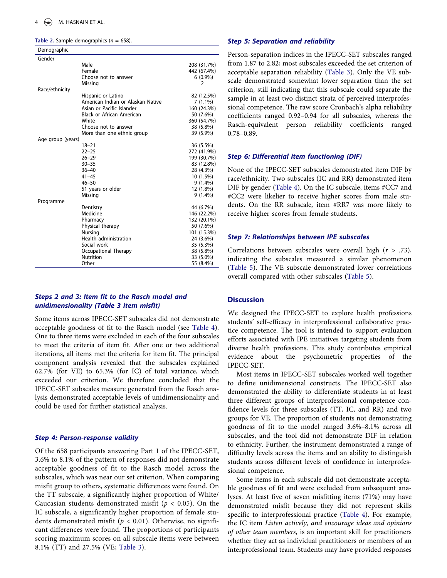<span id="page-4-0"></span>Table 2. Sample demographics ( $n = 658$ ).

| Demographic       |                                   |                         |
|-------------------|-----------------------------------|-------------------------|
| Gender            |                                   |                         |
|                   | Male                              | 208 (31.7%)             |
|                   | Female                            | 442 (67.4%)             |
|                   | Choose not to answer              | $6(0.9\%)$              |
|                   | Missing                           | 2                       |
| Race/ethnicity    |                                   |                         |
|                   | Hispanic or Latino                | 82 (12.5%)              |
|                   | American Indian or Alaskan Native | $7(1.1\%)$              |
|                   | Asian or Pacific Islander         | 160 (24.3%)             |
|                   | Black or African American         | 50 (7.6%)               |
|                   | White                             | 360 (54.7%)             |
|                   | Choose not to answer              | 38 (5.8%)               |
|                   | More than one ethnic group        | 39 (5.9%)               |
| Age group (years) |                                   |                         |
|                   | $18 - 21$                         | 36 (5.5%)               |
|                   | $22 - 25$<br>$26 - 29$            | 272 (41.9%)             |
|                   | $30 - 35$                         | 199 (30.7%)             |
|                   | $36 - 40$                         | 83 (12.8%)<br>28 (4.3%) |
|                   | $41 - 45$                         | 10 (1.5%)               |
|                   | $46 - 50$                         | $9(1.4\%)$              |
|                   | 51 years or older                 | 12 (1.8%)               |
|                   | Missing                           | $9(1.4\%)$              |
| Programme         |                                   |                         |
|                   | Dentistry                         | 44 (6.7%)               |
|                   | Medicine                          | 146 (22.2%)             |
|                   | Pharmacy                          | 132 (20.1%)             |
|                   | Physical therapy                  | 50 (7.6%)               |
|                   | Nursing                           | 101 (15.3%)             |
|                   | Health administration             | 24 (3.6%)               |
|                   | Social work                       | 35 (5.3%)               |
|                   | Occupational Therapy              | 38 (5.8%)               |
|                   | <b>Nutrition</b>                  | 33 (5.0%)               |
|                   | Other                             | 55 (8.4%)               |

# Steps 2 and 3: Item fit to the Rasch model and unidimensionality ([Table 3](#page-5-0) item misfit)

Some items across IPECC-SET subscales did not demonstrate acceptable goodness of fit to the Rasch model (see [Table 4](#page-6-0)). One to three items were excluded in each of the four subscales to meet the criteria of item fit. After one or two additional iterations, all items met the criteria for item fit. The principal component analysis revealed that the subscales explained 62.7% (for VE) to 65.3% (for IC) of total variance, which exceeded our criterion. We therefore concluded that the IPECC-SET subscales measure generated from the Rasch analysis demonstrated acceptable levels of unidimensionality and could be used for further statistical analysis.

# Step 4: Person-response validity

Of the 658 participants answering Part 1 of the IPECC-SET, 3.6% to 8.1% of the pattern of responses did not demonstrate acceptable goodness of fit to the Rasch model across the subscales, which was near our set criterion. When comparing misfit group to others, systematic differences were found. On the TT subscale, a significantly higher proportion of White/ Caucasian students demonstrated misfit ( $p < 0.05$ ). On the IC subscale, a significantly higher proportion of female students demonstrated misfit ( $p < 0.01$ ). Otherwise, no significant differences were found. The proportions of participants scoring maximum scores on all subscale items were between 8.1% (TT) and 27.5% (VE; [Table 3](#page-5-0)).

#### Step 5: Separation and reliability

Person-separation indices in the IPECC-SET subscales ranged from 1.87 to 2.82; most subscales exceeded the set criterion of acceptable separation reliability ([Table 3\)](#page-5-0). Only the VE subscale demonstrated somewhat lower separation than the set criterion, still indicating that this subscale could separate the sample in at least two distinct strata of perceived interprofessional competence. The raw score Cronbach's alpha reliability coefficients ranged 0.92–0.94 for all subscales, whereas the Rasch-equivalent person reliability coefficients ranged 0.78–0.89.

# Step 6: Differential item functioning (DIF)

None of the IPECC-SET subscales demonstrated item DIF by race/ethnicity. Two subscales (IC and RR) demonstrated item DIF by gender [\(Table 4](#page-6-0)). On the IC subscale, items #CC7 and #CC2 were likelier to receive higher scores from male students. On the RR subscale, item #RR7 was more likely to receive higher scores from female students.

# Step 7: Relationships between IPE subscales

Correlations between subscales were overall high  $(r > .73)$ , indicating the subscales measured a similar phenomenon [\(Table 5\)](#page-6-1). The VE subscale demonstrated lower correlations overall compared with other subscales ([Table 5](#page-6-1)).

### **Discussion**

We designed the IPECC-SET to explore health professions students' self-efficacy in interprofessional collaborative practice competence. The tool is intended to support evaluation efforts associated with IPE initiatives targeting students from diverse health professions. This study contributes empirical evidence about the psychometric properties of the IPECC-SET.

Most items in IPECC-SET subscales worked well together to define unidimensional constructs. The IPECC-SET also demonstrated the ability to differentiate students in at least three different groups of interprofessional competence confidence levels for three subscales (TT, IC, and RR) and two groups for VE. The proportion of students not demonstrating goodness of fit to the model ranged 3.6%–8.1% across all subscales, and the tool did not demonstrate DIF in relation to ethnicity. Further, the instrument demonstrated a range of difficulty levels across the items and an ability to distinguish students across different levels of confidence in interprofessional competence.

Some items in each subscale did not demonstrate acceptable goodness of fit and were excluded from subsequent analyses. At least five of seven misfitting items (71%) may have demonstrated misfit because they did not represent skills specific to interprofessional practice [\(Table 4](#page-6-0)). For example, the IC item Listen actively, and encourage ideas and opinions of other team members, is an important skill for practitioners whether they act as individual practitioners or members of an interprofessional team. Students may have provided responses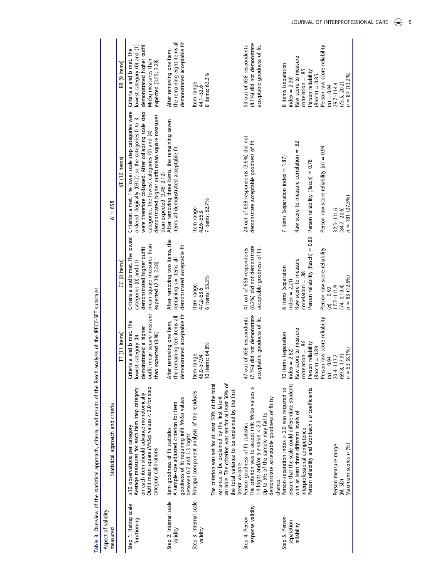<span id="page-5-0"></span>

|                                   | RR (9 items)     | owest category (0) and (1)<br>demonstrated higher outfit<br>Criteria a and b met. The<br>MnSq measures than<br>expected (3.55; 3.28)                                                                                                                                                                    | the remaining eight items all<br>demonstrated acceptable fit<br>After removing one item,                                                                  | 8 items: 63.3%<br>Item range:<br>44.1-53.6                   |                                                                                                                                                                                                                                  | (8.1%) did not demonstrate<br>53 out of 658 respondents<br>acceptable goodness of fit.                                                                                                                                           | Raw score to measure<br>8 items (separation<br>$correlation = .85$<br>index = $2.39$ )                                                                                            | Person raw score reliability<br>Person reliability<br>$n = 87(13.2\%)$<br>$(Rasch) = 0.85$<br>$29.7 - 114.4$<br>(75.5, 20.2)<br>$(a) = 0.94$   |
|-----------------------------------|------------------|---------------------------------------------------------------------------------------------------------------------------------------------------------------------------------------------------------------------------------------------------------------------------------------------------------|-----------------------------------------------------------------------------------------------------------------------------------------------------------|--------------------------------------------------------------|----------------------------------------------------------------------------------------------------------------------------------------------------------------------------------------------------------------------------------|----------------------------------------------------------------------------------------------------------------------------------------------------------------------------------------------------------------------------------|-----------------------------------------------------------------------------------------------------------------------------------------------------------------------------------|------------------------------------------------------------------------------------------------------------------------------------------------|
| $N = 658$                         | VE (10 items)    | Criterion a met. The lower scale step categories were<br>were therefore collapsed. After collapsing scale step<br>demonstrated higher outfit mean square measures<br>ordered illogically (0312) so the categories 0 to 3<br>categories, the lowest categories (0) and (4)<br>than expected (3.45; 2.12) | After removing three items, the remaining seven<br>items all demonstrated acceptable fit                                                                  | 7 items: 62.7%<br>Item range:<br>$42.6 - 55.3$               |                                                                                                                                                                                                                                  | 24 out of 658 respondents (3.6%) did not<br>demonstrate acceptable goodness of fit.                                                                                                                                              | Raw score to measure correlation = .82<br>7 items (separation index $= 1.87$ )                                                                                                    | Person raw score reliability $(a) = 0.94$<br>Person reliability (Rasch) = 0.78<br>$n = 181 (27.5\%)$<br>(84.7, 20.6)<br>$32.5 - 111.6$         |
|                                   | CC (8 items)     | Criteria a and b met. The lowest<br>mean square measures than<br>demonstrated higher outfit<br>categories (0) and (1)<br>expected (2.39; 2.28)                                                                                                                                                          | After removing two items, the<br>demonstrated acceptable fit<br>remaining six items all                                                                   | 6 items: 65.3%<br>Item range:<br>$47.2 - 53.6$               |                                                                                                                                                                                                                                  | (6.2%) did not demonstrate<br>41 out of 658 respondents<br>acceptable goodness of fit.                                                                                                                                           | Raw score to measure<br>6 items (separation<br>$correlation = .88$<br>$ndex = 2.21$                                                                                               | Person reliability (Rasch) = 0.83<br>Person raw score reliability<br>$n = 83(12.6\%)$<br>(74.0, 19.4)<br>$17.7 - 111.9$<br>$(a) = 0.92$        |
|                                   | $\Pi$ (11 items) | mean square measure<br>Criteria a and b met. The<br>demonstrated a higher<br>than expected (3.98)<br>lowest category (0)<br>outfit                                                                                                                                                                      | demonstrated acceptable fit<br>the remaining ten items all<br>After removing one item,                                                                    | 10 items: 64.8%<br>range:<br>45.0-57.94<br>Item <sub>1</sub> |                                                                                                                                                                                                                                  | (7.1%) did not demonstrate<br>47 out of 658 respondents<br>acceptable goodness of fit.                                                                                                                                           | Raw score to measure<br>10 items (separation<br>$correlation = .86$<br>$index = 2.82$                                                                                             | Person raw score reliability<br>Person reliability<br>$(Rasch) = 0.89$<br>$(69.8, 17.9)$<br>$n = 53 (8.1\%)$<br>$20.4 - 113.2$<br>$(0) = 0.94$ |
| Statistical approach and criteria |                  | Outfit mean square $(MnSq)$ values < 2.0 for step<br>Average measures for each item step category<br>on each item should advance monotonically<br>210 observations per category<br>category calibrations                                                                                                | goodness of fit requiring infit MnSq values<br>A sample-size adjusted criterion for item<br>Item goodness of fit statistics<br>between 0.7 and 1.3 logits | Principal component analysis of the residuals                | variable. The criterion was set for at least 50% of<br>The criterion was set for at least 50% of the total<br>the total variance to be explained by the first<br>variance to be explained by the first latent<br>latent variable | The criterion was to accept infit $MnSq$ values $\leq$<br>demonstrate acceptable goodness of fit by<br>Up to 5% of the sample may fail to<br>1.4 logits and/or a z value $<$ 2.0<br>Person goodness of fit statistics<br>chance. | ensure that the scale could differentiate students<br>Person-separation index $> 2.0$ was required to<br>with at least three different levels of<br>interprofessional competence. | Person reliability and Cronbach's a coefficients<br>Maximum scores n (%)<br>Person measure range<br>(M, SD)                                    |
| Aspect of validity<br>measured    |                  | Step 1. Rating scale<br>functioning                                                                                                                                                                                                                                                                     | Step 2. Internal scale<br>validity                                                                                                                        | Step 3. Internal scale<br>validity                           |                                                                                                                                                                                                                                  | response validity<br>Step 4. Person                                                                                                                                                                                              | Step 5. Person-<br>separation<br>reliability                                                                                                                                      |                                                                                                                                                |

Table 3. Overview of the statistical approach, criteria, and results of the Rasch analysis of the IPECC-SET subscales. Table 3. Overview of the statistical approach, criteria, and results of the Rasch analysis of the IPECC-SET subscales.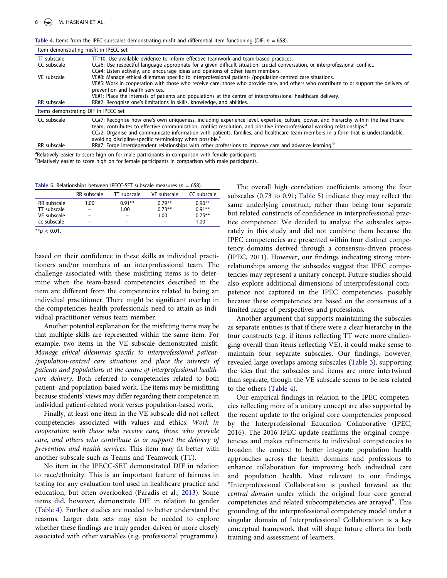| Item demonstrating misfit in IPECC set |                                                                                                                                        |  |  |  |  |
|----------------------------------------|----------------------------------------------------------------------------------------------------------------------------------------|--|--|--|--|
| TT subscale                            | TT#10: Use available evidence to inform effective teamwork and team-based practices.                                                   |  |  |  |  |
| CC subscale                            | CC#6: Use respectful language appropriate for a given difficult situation, crucial conversation, or interprofessional conflict.        |  |  |  |  |
|                                        | CC#4: Listen actively, and encourage ideas and opinions of other team members.                                                         |  |  |  |  |
| VE subscale                            | VE#8: Manage ethical dilemmas specific to interprofessional patient-/population-centred care situations.                               |  |  |  |  |
|                                        | VE#5: Work in cooperation with those who receive care, those who provide care, and others who contribute to or support the delivery of |  |  |  |  |
|                                        | prevention and health services.                                                                                                        |  |  |  |  |
|                                        | VE#1: Place the interests of patients and populations at the centre of interprofessional healthcare delivery.                          |  |  |  |  |
| RR subscale                            | RR#2: Recognise one's limitations in skills, knowledge, and abilities.                                                                 |  |  |  |  |
| Items demonstrating DIF in IPECC set   |                                                                                                                                        |  |  |  |  |
| CC subscale                            | CC#7: Recognise how one's own uniqueness, including experience level, expertise, culture, power, and hierarchy within the healthcare   |  |  |  |  |
|                                        | team, contributes to effective communication, conflict resolution, and positive interprofessional working relationships. <sup>a</sup>  |  |  |  |  |
|                                        | CC#2: Organise and communicate information with patients, families, and healthcare team members in a form that is understandable,      |  |  |  |  |
|                                        | avoiding discipline-specific terminology when possible. <sup>a</sup>                                                                   |  |  |  |  |
| RR subscale                            | RR#7: Forge interdependent relationships with other professions to improve care and advance learning. <sup>b</sup>                     |  |  |  |  |

<span id="page-6-0"></span>Table 4. Items from the IPEC subscales demonstrating misfit and differential item functioning (DIF;  $n = 658$ ).

<sup>a</sup>Relatively easier to score high on for male participants in comparison with female participants. <sup>b</sup>Relatively easier to score high on for female participants in comparison with male participants.

<span id="page-6-1"></span>Table 5. Relationships between IPECC-SET subscale measures ( $n = 658$ ).

|                 | RR subscale | TT subscale | VE subscale | CC subscale |
|-----------------|-------------|-------------|-------------|-------------|
| RR subscale     | 1.00        | $0.91**$    | $0.79**$    | $0.90**$    |
| TT subscale     |             | 1.00        | $0.73**$    | $0.91**$    |
| VE subscale     |             |             | 1.00        | $0.75***$   |
| cc subscale     |             |             |             | 1.00        |
| ** $p < 0.01$ . |             |             |             |             |

based on their confidence in these skills as individual practitioners and/or members of an interprofessional team. The challenge associated with these misfitting items is to determine when the team-based competencies described in the item are different from the competencies related to being an individual practitioner. There might be significant overlap in the competencies health professionals need to attain as individual practitioner versus team member.

Another potential explanation for the misfitting items may be that multiple skills are represented within the same item. For example, two items in the VE subscale demonstrated misfit: Manage ethical dilemmas specific to interprofessional patient- /population-centred care situations and place the interests of patients and populations at the centre of interprofessional healthcare delivery. Both referred to competencies related to both patient- and population-based work. The items may be misfitting because students' views may differ regarding their competence in individual patient-related work versus population-based work.

Finally, at least one item in the VE subscale did not reflect competencies associated with values and ethics: Work in cooperation with those who receive care, those who provide care, and others who contribute to or support the delivery of prevention and health services. This item may fit better with another subscale such as Teams and Teamwork (TT).

No item in the IPECC-SET demonstrated DIF in relation to race/ethnicity. This is an important feature of fairness in testing for any evaluation tool used in healthcare practice and education, but often overlooked (Paradis et al., [2013](#page-8-15)). Some items did, however, demonstrate DIF in relation to gender [\(Table 4\)](#page-6-0). Further studies are needed to better understand the reasons. Larger data sets may also be needed to explore whether these findings are truly gender-driven or more closely associated with other variables (e.g. professional programme).

The overall high correlation coefficients among the four subscales (0.73 to 0.91; [Table 5\)](#page-6-1) indicate they may reflect the same underlying construct, rather than being four separate but related constructs of confidence in interprofessional practice competence. We decided to analyse the subscales separately in this study and did not combine them because the IPEC competencies are presented within four distinct competency domains derived through a consensus-driven process (IPEC, 2011). However, our findings indicating strong interrelationships among the subscales suggest that IPEC competencies may represent a unitary concept. Future studies should also explore additional dimensions of interprofessional competence not captured in the IPEC competencies, possibly because these competencies are based on the consensus of a limited range of perspectives and professions.

Another argument that supports maintaining the subscales as separate entities is that if there were a clear hierarchy in the four constructs (e.g. if items reflecting TT were more challenging overall than items reflecting VE), it could make sense to maintain four separate subscales. Our findings, however, revealed large overlaps among subscales [\(Table 3](#page-5-0)), supporting the idea that the subscales and items are more intertwined than separate, though the VE subscale seems to be less related to the others [\(Table 4\)](#page-6-0).

Our empirical findings in relation to the IPEC competencies reflecting more of a unitary concept are also supported by the recent update to the original core competencies proposed by the Interprofessional Education Collaborative (IPEC, 2016). The 2016 IPEC update reaffirms the original competencies and makes refinements to individual competencies to broaden the context to better integrate population health approaches across the health domains and professions to enhance collaboration for improving both individual care and population health. Most relevant to our findings, "Interprofessional Collaboration is pushed forward as the central domain under which the original four core general competencies and related subcompetencies are arrayed". This grounding of the interprofessional competency model under a singular domain of Interprofessional Collaboration is a key conceptual framework that will shape future efforts for both training and assessment of learners.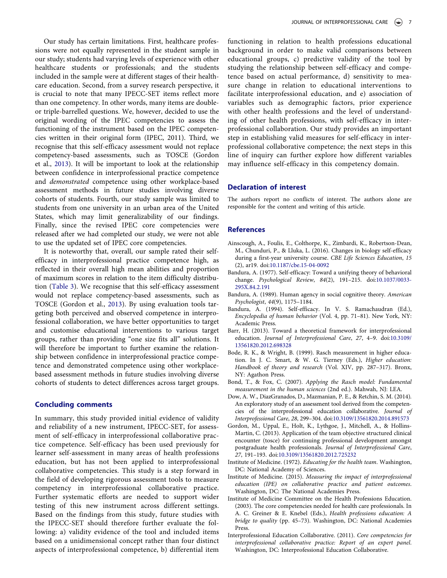Our study has certain limitations. First, healthcare professions were not equally represented in the student sample in our study; students had varying levels of experience with other healthcare students or professionals; and the students included in the sample were at different stages of their healthcare education. Second, from a survey research perspective, it is crucial to note that many IPECC-SET items reflect more than one competency. In other words, many items are doubleor triple-barrelled questions. We, however, decided to use the original wording of the IPEC competencies to assess the functioning of the instrument based on the IPEC competencies written in their original form (IPEC, 2011). Third, we recognise that this self-efficacy assessment would not replace competency-based assessments, such as TOSCE (Gordon et al., [2013\)](#page-7-9). It will be important to look at the relationship between confidence in interprofessional practice competence and demonstrated competence using other workplace-based assessment methods in future studies involving diverse cohorts of students. Fourth, our study sample was limited to students from one university in an urban area of the United States, which may limit generalizability of our findings. Finally, since the revised IPEC core competencies were released after we had completed our study, we were not able to use the updated set of IPEC core competencies.

It is noteworthy that, overall, our sample rated their selfefficacy in interprofessional practice competence high, as reflected in their overall high mean abilities and proportion of maximum scores in relation to the item difficulty distribution ([Table 3](#page-5-0)). We recognise that this self-efficacy assessment would not replace competency-based assessments, such as TOSCE (Gordon et al., [2013](#page-7-9)). By using evaluation tools targeting both perceived and observed competence in interprofessional collaboration, we have better opportunities to target and customise educational interventions to various target groups, rather than providing "one size fits all" solutions. It will therefore be important to further examine the relationship between confidence in interprofessional practice competence and demonstrated competence using other workplacebased assessment methods in future studies involving diverse cohorts of students to detect differences across target groups.

# Concluding comments

In summary, this study provided initial evidence of validity and reliability of a new instrument, IPECC-SET, for assessment of self-efficacy in interprofessional collaborative practice competence. Self-efficacy has been used previously for learner self-assessment in many areas of health professions education, but has not been applied to interprofessional collaborative competencies. This study is a step forward in the field of developing rigorous assessment tools to measure competency in interprofessional collaborative practice. Further systematic efforts are needed to support wider testing of this new instrument across different settings. Based on the findings from this study, future studies with the IPECC-SET should therefore further evaluate the following: a) validity evidence of the tool and included items based on a unidimensional concept rather than four distinct aspects of interprofessional competence, b) differential item

functioning in relation to health professions educational background in order to make valid comparisons between educational groups, c) predictive validity of the tool by studying the relationship between self-efficacy and competence based on actual performance, d) sensitivity to measure change in relation to educational interventions to facilitate interprofessional education, and e) association of variables such as demographic factors, prior experience with other health professions and the level of understanding of other health professions, with self-efficacy in interprofessional collaboration. Our study provides an important step in establishing valid measures for self-efficacy in interprofessional collaborative competence; the next steps in this line of inquiry can further explore how different variables may influence self-efficacy in this competency domain.

#### Declaration of interest

The authors report no conflicts of interest. The authors alone are responsible for the content and writing of this article.

### References

- <span id="page-7-6"></span>Ainscough, A., Foulis, E., Colthorpe, K., Zimbardi, K., Robertson-Dean, M., Chunduri, P., & Lluka, L. (2016). Changes in biology self-efficacy during a first-year university course. CBE Life Sciences Education, 15 (2), ar19. doi:[10.1187/cbe.15-04-0092](http://dx.doi.org/10.1187/cbe.15-04-0092)
- <span id="page-7-3"></span>Bandura, A. (1977). Self-efficacy: Toward a unifying theory of behavioral change. Psychological Review, 84(2), 191–215. doi:[10.1037/0033-](http://dx.doi.org/10.1037/0033-295X.84.2.191) [295X.84.2.191](http://dx.doi.org/10.1037/0033-295X.84.2.191)
- <span id="page-7-5"></span>Bandura, A. (1989). Human agency in social cognitive theory. American Psychologist, 44(9), 1175–1184.
- <span id="page-7-4"></span>Bandura, A. (1994). Self-efficacy. In V. S. Ramachaudran (Ed.), Encyclopedia of human behavior (Vol. 4, pp. 71–81). New York, NY: Academic Press.
- <span id="page-7-0"></span>Barr, H. (2013). Toward a theoretical framework for interprofessional education. Journal of Interprofessional Care, 27, 4–9. doi:[10.3109/](http://dx.doi.org/10.3109/13561820.2012.698328) [13561820.2012.698328](http://dx.doi.org/10.3109/13561820.2012.698328)
- <span id="page-7-8"></span>Bode, R. K., & Wright, B. (1999). Rasch measurement in higher education. In J. C. Smart, & W. G. Tierney (Eds.), Higher education: Handbook of theory and research (Vol. XIV, pp. 287–317). Bronx, NY: Agathon Press.
- <span id="page-7-7"></span>Bond, T., & Fox, C. (2007). Applying the Rasch model: Fundamental measurement in the human sciences (2nd ed.). Mahwah, NJ: LEA.
- <span id="page-7-1"></span>Dow, A. W., DiazGranados, D., Mazmanian, P. E., & Retchin, S. M. (2014). An exploratory study of an assessment tool derived from the competencies of the interprofessional education collaborative. Journal of Interprofessional Care, 28, 299–304. doi:[10.3109/13561820.2014.891573](http://dx.doi.org/10.3109/13561820.2014.891573)
- <span id="page-7-9"></span>Gordon, M., Uppal, E., Holt, K., Lythgoe, J., Mitchell, A., & Hollins-Martin, C. (2013). Application of the team objective structured clinical encounter (tosce) for continuing professional development amongst postgraduate health professionals. Journal of Interprofessional Care, 27, 191–193. doi:[10.3109/13561820.2012.725232](http://dx.doi.org/10.3109/13561820.2012.725232)
- Institute of Medicine. (1972). Educating for the health team. Washington, DC: National Academy of Sciences.
- <span id="page-7-2"></span>Institute of Medicine. (2015). Measuring the impact of interprofessional education (IPE) on collaborative practice and patient outcomes. Washington, DC: The National Academies Press.
- Institute of Medicine Committee on the Health Professions Education. (2003). The core competencies needed for health care professionals. In A. C. Greiner & E. Knebel (Eds.), Health professions education: A bridge to quality (pp. 45–73). Washington, DC: National Academies Press.
- Interprofessional Education Collaborative. (2011). Core competencies for interprofessional collaborative practice: Report of an expert panel. Washington, DC: Interprofessional Education Collaborative.